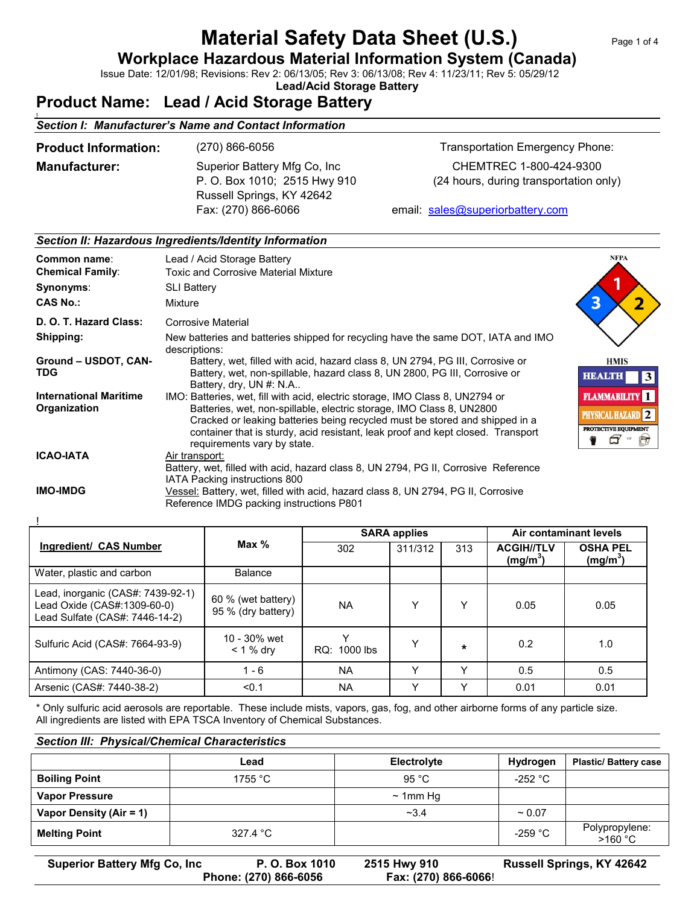# **Material Safety Data Sheet (U.S.)** Page 1 of 4

**Workplace Hazardous Material Information System (Canada)**

Issue Date: 12/01/98; Revisions: Rev 2: 06/13/05; Rev 3: 06/13/08; Rev 4: 11/23/11; Rev 5: 05/29/12

**Lead/Acid Storage Battery**

### **Product Name: Lead / Acid Storage Battery**

## ! *Section I: Manufacturer's Name and Contact Information* **Product Information:** (270) 866-6056 Transportation Emergency Phone: **Manufacturer:** Superior Battery Mfg Co, Inc CHEMTREC 1-800-424-9300 P. O. Box 1010; 2515 Hwy 910 (24 hours, during transportation only) Russell Springs, KY 42642

#### Fax: (270) 866-6066 email: sales@superiorbattery.com

#### *Section II: Hazardous Ingredients/Identity Information*

| Common name:<br><b>Chemical Family:</b><br>Synonyms:<br><b>CAS No.:</b> | Lead / Acid Storage Battery<br><b>Toxic and Corrosive Material Mixture</b><br><b>SLI Battery</b><br>Mixture                                                                                                                                                                                                                                            | <b>NFPA</b>                                                                      |
|-------------------------------------------------------------------------|--------------------------------------------------------------------------------------------------------------------------------------------------------------------------------------------------------------------------------------------------------------------------------------------------------------------------------------------------------|----------------------------------------------------------------------------------|
| D. O. T. Hazard Class:                                                  | Corrosive Material                                                                                                                                                                                                                                                                                                                                     |                                                                                  |
| Shipping:                                                               | New batteries and batteries shipped for recycling have the same DOT, IATA and IMO<br>descriptions:                                                                                                                                                                                                                                                     |                                                                                  |
| Ground - USDOT, CAN-<br>TDG                                             | Battery, wet, filled with acid, hazard class 8, UN 2794, PG III, Corrosive or<br>Battery, wet, non-spillable, hazard class 8, UN 2800, PG III, Corrosive or<br>Battery, dry, UN #: N.A                                                                                                                                                                 | <b>HMIS</b><br><b>HEALTH</b><br>3                                                |
| <b>International Maritime</b><br>Organization                           | IMO: Batteries, wet, fill with acid, electric storage, IMO Class 8, UN2794 or<br>Batteries, wet, non-spillable, electric storage, IMO Class 8, UN2800<br>Cracked or leaking batteries being recycled must be stored and shipped in a<br>container that is sturdy, acid resistant, leak proof and kept closed. Transport<br>requirements vary by state. | <b>FLAMMABILITY</b> 1<br>PHYSICAL HAZARD 2<br>PROTECTIVE EQUIPMENT<br>$\sqrt{2}$ |
| <b>ICAO-IATA</b>                                                        | Air transport:<br>Battery, wet, filled with acid, hazard class 8, UN 2794, PG II, Corrosive Reference<br>IATA Packing instructions 800                                                                                                                                                                                                                 |                                                                                  |
| <b>IMO-IMDG</b>                                                         | Vessel: Battery, wet, filled with acid, hazard class 8, UN 2794, PG II, Corrosive<br>Reference IMDG packing instructions P801                                                                                                                                                                                                                          |                                                                                  |

|                                                                                                    | Max $%$                                  | <b>SARA applies</b> |         |              | Air contaminant levels                    |                               |
|----------------------------------------------------------------------------------------------------|------------------------------------------|---------------------|---------|--------------|-------------------------------------------|-------------------------------|
| Ingredient/ CAS Number                                                                             |                                          | 302                 | 311/312 | 313          | <b>ACGIH//TLV</b><br>(mg/m <sup>3</sup> ) | <b>OSHA PEL</b><br>$(mg/m^3)$ |
| Water, plastic and carbon                                                                          | Balance                                  |                     |         |              |                                           |                               |
| Lead, inorganic (CAS#: 7439-92-1)<br>Lead Oxide (CAS#:1309-60-0)<br>Lead Sulfate (CAS#: 7446-14-2) | 60 % (wet battery)<br>95 % (dry battery) | ΝA                  | Υ       | Υ            | 0.05                                      | 0.05                          |
| Sulfuric Acid (CAS#: 7664-93-9)                                                                    | 10 - 30% wet<br>$< 1 %$ dry              | v<br>RQ: 1000 lbs   | Υ       | $\star$      | 0.2                                       | 1.0                           |
| Antimony (CAS: 7440-36-0)                                                                          | $1 - 6$                                  | <b>NA</b>           | Υ       | Υ            | 0.5                                       | 0.5                           |
| Arsenic (CAS#: 7440-38-2)                                                                          | < 0.1                                    | <b>NA</b>           | Υ       | $\checkmark$ | 0.01                                      | 0.01                          |

\* Only sulfuric acid aerosols are reportable. These include mists, vapors, gas, fog, and other airborne forms of any particle size. All ingredients are listed with EPA TSCA Inventory of Chemical Substances.

#### *Section III: Physical/Chemical Characteristics*

|                         | Lead              | Electrolyte   | Hydrogen          | <b>Plastic/Battery case</b> |
|-------------------------|-------------------|---------------|-------------------|-----------------------------|
| <b>Boiling Point</b>    | 1755 $^{\circ}$ C | 95 °C         | -252 $^{\circ}$ C |                             |
| <b>Vapor Pressure</b>   |                   | $\sim$ 1mm Hg |                   |                             |
| Vapor Density (Air = 1) |                   | $-3.4$        | $~1$ 0.07         |                             |
| <b>Melting Point</b>    | 327.4 °C          |               | -259 $^{\circ}$ C | Polypropylene:<br>>160 °C   |

**Superior Battery Mfg Co, Inc P. O. Box 1010 2515 Hwy 910 Russell Springs, KY 42642**

**Phone: (270) 866-6056 Fax: (270) 866-6066**!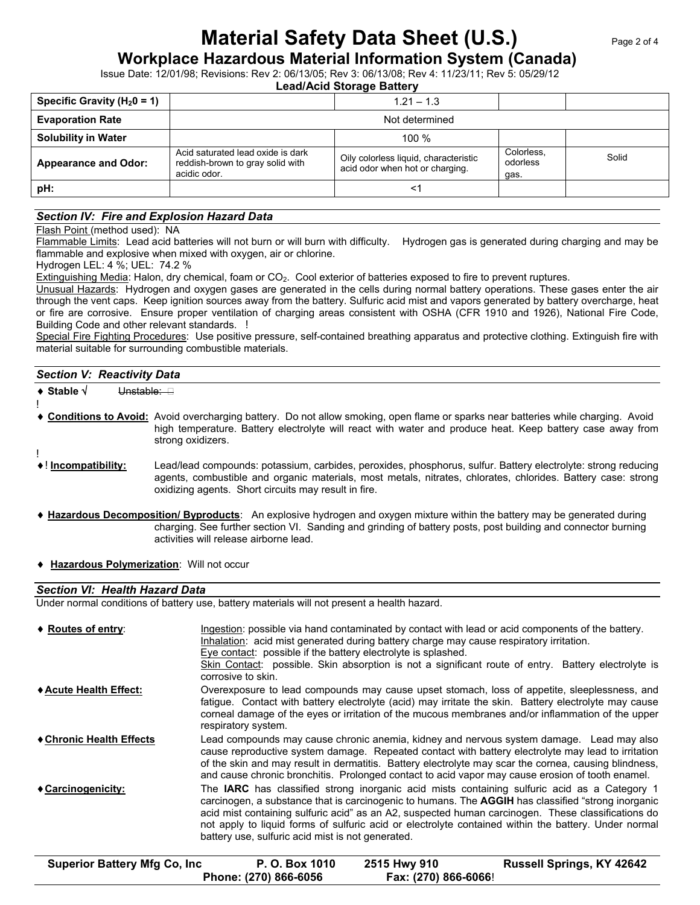# **Material Safety Data Sheet (U.S.)** Page 2 of 4

**Workplace Hazardous Material Information System (Canada)**

Issue Date: 12/01/98; Revisions: Rev 2: 06/13/05; Rev 3: 06/13/08; Rev 4: 11/23/11; Rev 5: 05/29/12

**Lead/Acid Storage Battery**

| Specific Gravity ( $H_2$ 0 = 1) |                                                                                       | $1.21 - 1.3$                                                             |                                |       |
|---------------------------------|---------------------------------------------------------------------------------------|--------------------------------------------------------------------------|--------------------------------|-------|
| <b>Evaporation Rate</b>         |                                                                                       | Not determined                                                           |                                |       |
| <b>Solubility in Water</b>      |                                                                                       | 100 $%$                                                                  |                                |       |
| <b>Appearance and Odor:</b>     | Acid saturated lead oxide is dark<br>reddish-brown to gray solid with<br>acidic odor. | Oily colorless liquid, characteristic<br>acid odor when hot or charging. | Colorless,<br>odorless<br>gas. | Solid |
| pH:                             |                                                                                       | <1                                                                       |                                |       |

#### *Section IV: Fire and Explosion Hazard Data*

Flash Point (method used): NA

Flammable Limits: Lead acid batteries will not burn or will burn with difficulty. Hydrogen gas is generated during charging and may be flammable and explosive when mixed with oxygen, air or chlorine.

Hydrogen LEL: 4 %; UEL: 74.2 %

Extinguishing Media: Halon, dry chemical, foam or CO<sub>2</sub>. Cool exterior of batteries exposed to fire to prevent ruptures.

Unusual Hazards: Hydrogen and oxygen gases are generated in the cells during normal battery operations. These gases enter the air through the vent caps. Keep ignition sources away from the battery. Sulfuric acid mist and vapors generated by battery overcharge, heat or fire are corrosive. Ensure proper ventilation of charging areas consistent with OSHA (CFR 1910 and 1926), National Fire Code, Building Code and other relevant standards. !

Special Fire Fighting Procedures: Use positive pressure, self-contained breathing apparatus and protective clothing. Extinguish fire with material suitable for surrounding combustible materials.

#### *Section V: Reactivity Data* ◆ Stable  $\sqrt{ }$  Unstable: ! **Conditions to Avoid:** Avoid overcharging battery. Do not allow smoking, open flame or sparks near batteries while charging. Avoid high temperature. Battery electrolyte will react with water and produce heat. Keep battery case away from strong oxidizers. ! ! **Incompatibility:** Lead/lead compounds: potassium, carbides, peroxides, phosphorus, sulfur. Battery electrolyte: strong reducing

- agents, combustible and organic materials, most metals, nitrates, chlorates, chlorides. Battery case: strong oxidizing agents. Short circuits may result in fire.
- **Hazardous Decomposition/ Byproducts**: An explosive hydrogen and oxygen mixture within the battery may be generated during charging. See further section VI. Sanding and grinding of battery posts, post building and connector burning activities will release airborne lead.
- **Hazardous Polymerization**: Will not occur

#### *Section VI: Health Hazard Data*

Under normal conditions of battery use, battery materials will not present a health hazard.

| ♦ Routes of entry:       | Ingestion: possible via hand contaminated by contact with lead or acid components of the battery.<br>Inhalation: acid mist generated during battery charge may cause respiratory irritation.<br>Eye contact: possible if the battery electrolyte is splashed.<br>Skin Contact: possible. Skin absorption is not a significant route of entry. Battery electrolyte is<br>corrosive to skin.                                                                                          |
|--------------------------|-------------------------------------------------------------------------------------------------------------------------------------------------------------------------------------------------------------------------------------------------------------------------------------------------------------------------------------------------------------------------------------------------------------------------------------------------------------------------------------|
| ◆ Acute Health Effect:   | Overexposure to lead compounds may cause upset stomach, loss of appetite, sleeplessness, and<br>fatigue. Contact with battery electrolyte (acid) may irritate the skin. Battery electrolyte may cause<br>corneal damage of the eyes or irritation of the mucous membranes and/or inflammation of the upper<br>respiratory system.                                                                                                                                                   |
| ♦ Chronic Health Effects | Lead compounds may cause chronic anemia, kidney and nervous system damage. Lead may also<br>cause reproductive system damage. Repeated contact with battery electrolyte may lead to irritation<br>of the skin and may result in dermatitis. Battery electrolyte may scar the cornea, causing blindness,<br>and cause chronic bronchitis. Prolonged contact to acid vapor may cause erosion of tooth enamel.                                                                         |
| ♦ Carcinogenicity:       | The <b>IARC</b> has classified strong inorganic acid mists containing sulfuric acid as a Category 1<br>carcinogen, a substance that is carcinogenic to humans. The <b>AGGIH</b> has classified "strong inorganic<br>acid mist containing sulfuric acid" as an A2, suspected human carcinogen. These classifications do<br>not apply to liquid forms of sulfuric acid or electrolyte contained within the battery. Under normal<br>battery use, sulfuric acid mist is not generated. |

| <b>Superior Battery Mfg Co, Inc.</b> | P. O. Box 1010        | 2515 Hwy 910         | <b>Russell Springs, KY 42642</b> |
|--------------------------------------|-----------------------|----------------------|----------------------------------|
|                                      | Phone: (270) 866-6056 | Fax: (270) 866-6066! |                                  |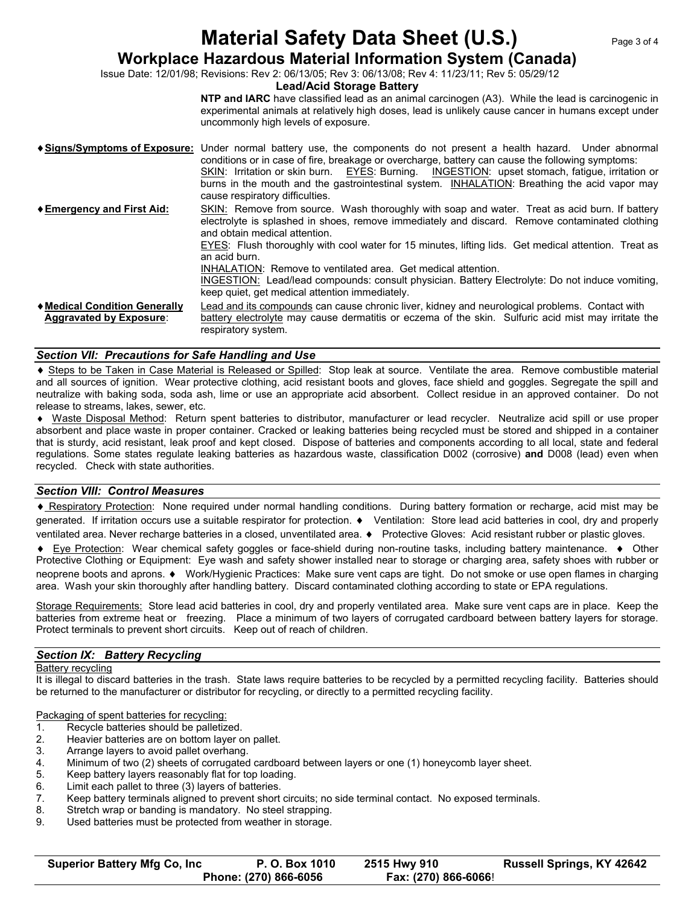## **Material Safety Data Sheet (U.S.)** Page 3 of 4

### **Workplace Hazardous Material Information System (Canada)**

Issue Date: 12/01/98; Revisions: Rev 2: 06/13/05; Rev 3: 06/13/08; Rev 4: 11/23/11; Rev 5: 05/29/12

#### **Lead/Acid Storage Battery**

**NTP and IARC** have classified lead as an animal carcinogen (A3). While the lead is carcinogenic in experimental animals at relatively high doses, lead is unlikely cause cancer in humans except under uncommonly high levels of exposure.

**Signs/Symptoms of Exposure:** Under normal battery use, the components do not present a health hazard. Under abnormal conditions or in case of fire, breakage or overcharge, battery can cause the following symptoms: SKIN: Irritation or skin burn. EYES: Burning. INGESTION: upset stomach, fatigue, irritation or burns in the mouth and the gastrointestinal system. **INHALATION:** Breathing the acid vapor may cause respiratory difficulties. **Emergency and First Aid:** SKIN: Remove from source. Wash thoroughly with soap and water. Treat as acid burn. If battery electrolyte is splashed in shoes, remove immediately and discard. Remove contaminated clothing and obtain medical attention. EYES: Flush thoroughly with cool water for 15 minutes, lifting lids. Get medical attention. Treat as an acid burn. INHALATION: Remove to ventilated area. Get medical attention. INGESTION: Lead/lead compounds: consult physician. Battery Electrolyte: Do not induce vomiting, keep quiet, get medical attention immediately. **Medical Condition Generally** Lead and its compounds can cause chronic liver, kidney and neurological problems. Contact with  **Aggravated by Exposure**: battery electrolyte may cause dermatitis or eczema of the skin. Sulfuric acid mist may irritate the respiratory system.

#### *Section VII: Precautions for Safe Handling and Use*

 Steps to be Taken in Case Material is Released or Spilled: Stop leak at source. Ventilate the area. Remove combustible material and all sources of ignition. Wear protective clothing, acid resistant boots and gloves, face shield and goggles. Segregate the spill and neutralize with baking soda, soda ash, lime or use an appropriate acid absorbent. Collect residue in an approved container. Do not release to streams, lakes, sewer, etc.

 Waste Disposal Method: Return spent batteries to distributor, manufacturer or lead recycler. Neutralize acid spill or use proper absorbent and place waste in proper container. Cracked or leaking batteries being recycled must be stored and shipped in a container that is sturdy, acid resistant, leak proof and kept closed. Dispose of batteries and components according to all local, state and federal regulations. Some states regulate leaking batteries as hazardous waste, classification D002 (corrosive) **and** D008 (lead) even when recycled. Check with state authorities.

#### *Section VIII: Control Measures*

 Respiratory Protection: None required under normal handling conditions. During battery formation or recharge, acid mist may be generated. If irritation occurs use a suitable respirator for protection. Ventilation: Store lead acid batteries in cool, dry and properly ventilated area. Never recharge batteries in a closed, unventilated area. • Protective Gloves: Acid resistant rubber or plastic gloves.

♦ Eye Protection: Wear chemical safety goggles or face-shield during non-routine tasks, including battery maintenance. ♦ Other Protective Clothing or Equipment: Eye wash and safety shower installed near to storage or charging area, safety shoes with rubber or neoprene boots and aprons. Work/Hygienic Practices: Make sure vent caps are tight. Do not smoke or use open flames in charging area. Wash your skin thoroughly after handling battery. Discard contaminated clothing according to state or EPA regulations.

Storage Requirements: Store lead acid batteries in cool, dry and properly ventilated area. Make sure vent caps are in place. Keep the batteries from extreme heat or freezing. Place a minimum of two layers of corrugated cardboard between battery layers for storage. Protect terminals to prevent short circuits. Keep out of reach of children.

#### *Section IX: Battery Recycling*

Battery recycling

It is illegal to discard batteries in the trash. State laws require batteries to be recycled by a permitted recycling facility. Batteries should be returned to the manufacturer or distributor for recycling, or directly to a permitted recycling facility.

Packaging of spent batteries for recycling:

- 1. Recycle batteries should be palletized.
- 2. Heavier batteries are on bottom layer on pallet.
- 3. Arrange layers to avoid pallet overhang.
- 4. Minimum of two (2) sheets of corrugated cardboard between layers or one (1) honeycomb layer sheet.<br>5. Keep battery layers reasonably flat for top loading.
- Keep battery layers reasonably flat for top loading.
- 6. Limit each pallet to three (3) layers of batteries.
- 7. Keep battery terminals aligned to prevent short circuits; no side terminal contact. No exposed terminals.
- 8. Stretch wrap or banding is mandatory. No steel strapping.
- 9. Used batteries must be protected from weather in storage.

| <b>Superior Battery Mfg Co, Inc</b> | P. O. Box 1010        | 2515 Hwy 910         | <b>Russell Springs, KY 42642</b> |
|-------------------------------------|-----------------------|----------------------|----------------------------------|
|                                     | Phone: (270) 866-6056 | Fax: (270) 866-6066! |                                  |